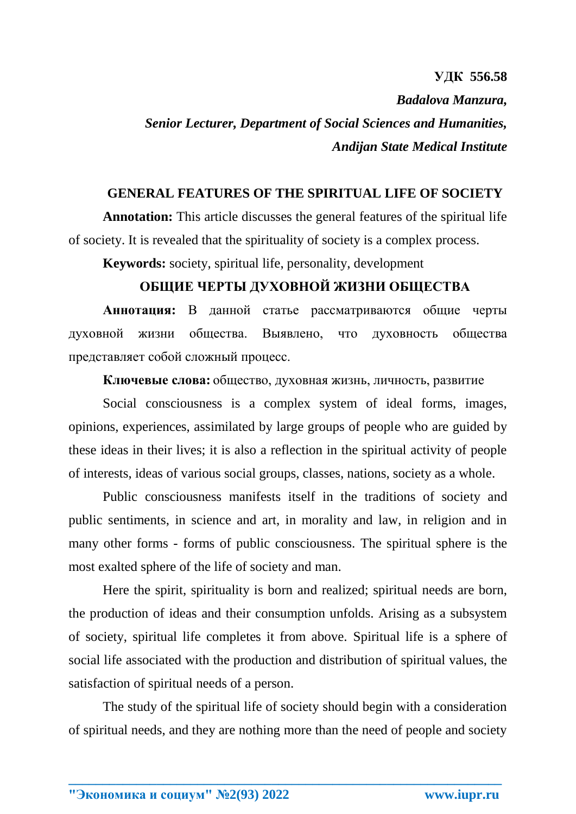## **УДК 556.58** *Badalova Manzura, Senior Lecturer, Department of Social Sciences and Humanities, Andijan State Medical Institute*

## **GENERAL FEATURES OF THE SPIRITUAL LIFE OF SOCIETY**

**Annotation:** This article discusses the general features of the spiritual life of society. It is revealed that the spirituality of society is a complex process.

**Keywords:** society, spiritual life, personality, development

## **ОБЩИЕ ЧЕРТЫ ДУХОВНОЙ ЖИЗНИ ОБЩЕСТВА**

**Аннотация:** В данной статье рассматриваются общие черты духовной жизни общества. Выявлено, что духовность общества представляет собой сложный процесс.

**Ключевые слова:** общество, духовная жизнь, личность, развитие

Social consciousness is a complex system of ideal forms, images, opinions, experiences, assimilated by large groups of people who are guided by these ideas in their lives; it is also a reflection in the spiritual activity of people of interests, ideas of various social groups, classes, nations, society as a whole.

Public consciousness manifests itself in the traditions of society and public sentiments, in science and art, in morality and law, in religion and in many other forms - forms of public consciousness. The spiritual sphere is the most exalted sphere of the life of society and man.

Here the spirit, spirituality is born and realized; spiritual needs are born, the production of ideas and their consumption unfolds. Arising as a subsystem of society, spiritual life completes it from above. Spiritual life is a sphere of social life associated with the production and distribution of spiritual values, the satisfaction of spiritual needs of a person.

The study of the spiritual life of society should begin with a consideration of spiritual needs, and they are nothing more than the need of people and society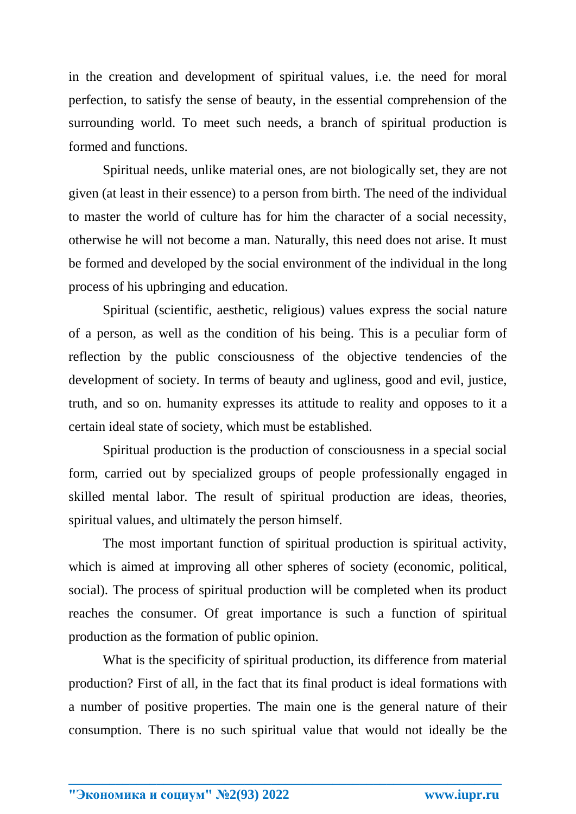in the creation and development of spiritual values, i.e. the need for moral perfection, to satisfy the sense of beauty, in the essential comprehension of the surrounding world. To meet such needs, a branch of spiritual production is formed and functions.

Spiritual needs, unlike material ones, are not biologically set, they are not given (at least in their essence) to a person from birth. The need of the individual to master the world of culture has for him the character of a social necessity, otherwise he will not become a man. Naturally, this need does not arise. It must be formed and developed by the social environment of the individual in the long process of his upbringing and education.

Spiritual (scientific, aesthetic, religious) values express the social nature of a person, as well as the condition of his being. This is a peculiar form of reflection by the public consciousness of the objective tendencies of the development of society. In terms of beauty and ugliness, good and evil, justice, truth, and so on. humanity expresses its attitude to reality and opposes to it a certain ideal state of society, which must be established.

Spiritual production is the production of consciousness in a special social form, carried out by specialized groups of people professionally engaged in skilled mental labor. The result of spiritual production are ideas, theories, spiritual values, and ultimately the person himself.

The most important function of spiritual production is spiritual activity, which is aimed at improving all other spheres of society (economic, political, social). The process of spiritual production will be completed when its product reaches the consumer. Of great importance is such a function of spiritual production as the formation of public opinion.

What is the specificity of spiritual production, its difference from material production? First of all, in the fact that its final product is ideal formations with a number of positive properties. The main one is the general nature of their consumption. There is no such spiritual value that would not ideally be the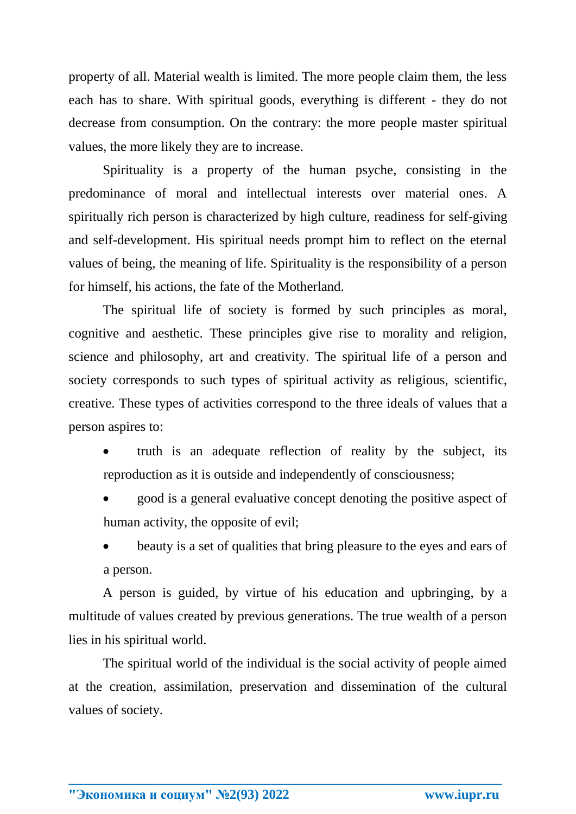property of all. Material wealth is limited. The more people claim them, the less each has to share. With spiritual goods, everything is different - they do not decrease from consumption. On the contrary: the more people master spiritual values, the more likely they are to increase.

Spirituality is a property of the human psyche, consisting in the predominance of moral and intellectual interests over material ones. A spiritually rich person is characterized by high culture, readiness for self-giving and self-development. His spiritual needs prompt him to reflect on the eternal values of being, the meaning of life. Spirituality is the responsibility of a person for himself, his actions, the fate of the Motherland.

The spiritual life of society is formed by such principles as moral, cognitive and aesthetic. These principles give rise to morality and religion, science and philosophy, art and creativity. The spiritual life of a person and society corresponds to such types of spiritual activity as religious, scientific, creative. These types of activities correspond to the three ideals of values that a person aspires to:

- truth is an adequate reflection of reality by the subject, its reproduction as it is outside and independently of consciousness;
- good is a general evaluative concept denoting the positive aspect of human activity, the opposite of evil;

 beauty is a set of qualities that bring pleasure to the eyes and ears of a person.

A person is guided, by virtue of his education and upbringing, by a multitude of values created by previous generations. The true wealth of a person lies in his spiritual world.

The spiritual world of the individual is the social activity of people aimed at the creation, assimilation, preservation and dissemination of the cultural values of society.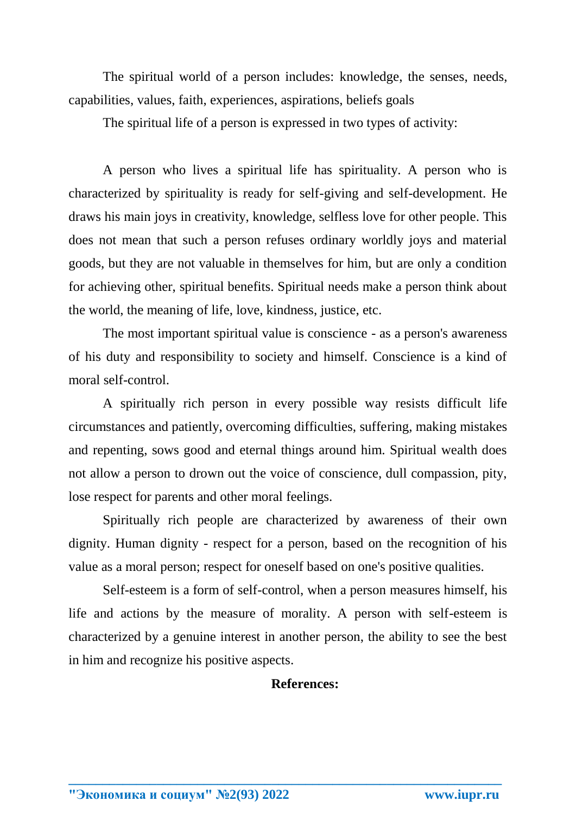The spiritual world of a person includes: knowledge, the senses, needs, capabilities, values, faith, experiences, aspirations, beliefs goals

The spiritual life of a person is expressed in two types of activity:

A person who lives a spiritual life has spirituality. A person who is characterized by spirituality is ready for self-giving and self-development. He draws his main joys in creativity, knowledge, selfless love for other people. This does not mean that such a person refuses ordinary worldly joys and material goods, but they are not valuable in themselves for him, but are only a condition for achieving other, spiritual benefits. Spiritual needs make a person think about the world, the meaning of life, love, kindness, justice, etc.

The most important spiritual value is conscience - as a person's awareness of his duty and responsibility to society and himself. Conscience is a kind of moral self-control.

A spiritually rich person in every possible way resists difficult life circumstances and patiently, overcoming difficulties, suffering, making mistakes and repenting, sows good and eternal things around him. Spiritual wealth does not allow a person to drown out the voice of conscience, dull compassion, pity, lose respect for parents and other moral feelings.

Spiritually rich people are characterized by awareness of their own dignity. Human dignity - respect for a person, based on the recognition of his value as a moral person; respect for oneself based on one's positive qualities.

Self-esteem is a form of self-control, when a person measures himself, his life and actions by the measure of morality. A person with self-esteem is characterized by a genuine interest in another person, the ability to see the best in him and recognize his positive aspects.

**\_\_\_\_\_\_\_\_\_\_\_\_\_\_\_\_\_\_\_\_\_\_\_\_\_\_\_\_\_\_\_\_\_\_\_\_\_\_\_\_\_\_\_\_\_\_\_\_\_\_\_\_\_\_\_\_\_\_\_\_\_\_\_\_**

## **References:**